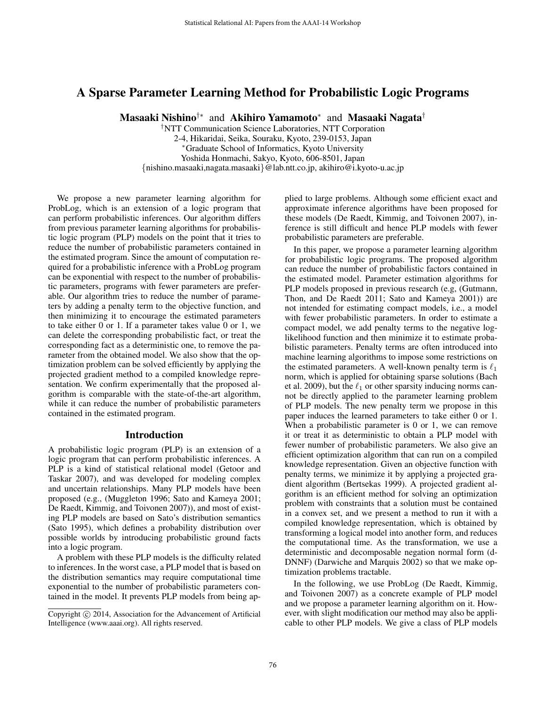# A Sparse Parameter Learning Method for Probabilistic Logic Programs

Masaaki Nishino $^{\dagger*}$  and Akihiro Yamamoto $^*$  and Masaaki Nagata $^\dagger$ 

†NTT Communication Science Laboratories, NTT Corporation 2-4, Hikaridai, Seika, Souraku, Kyoto, 239-0153, Japan <sup>∗</sup>Graduate School of Informatics, Kyoto University Yoshida Honmachi, Sakyo, Kyoto, 606-8501, Japan {nishino.masaaki,nagata.masaaki}@lab.ntt.co.jp, akihiro@i.kyoto-u.ac.jp

We propose a new parameter learning algorithm for ProbLog, which is an extension of a logic program that can perform probabilistic inferences. Our algorithm differs from previous parameter learning algorithms for probabilistic logic program (PLP) models on the point that it tries to reduce the number of probabilistic parameters contained in the estimated program. Since the amount of computation required for a probabilistic inference with a ProbLog program can be exponential with respect to the number of probabilistic parameters, programs with fewer parameters are preferable. Our algorithm tries to reduce the number of parameters by adding a penalty term to the objective function, and then minimizing it to encourage the estimated parameters to take either 0 or 1. If a parameter takes value 0 or 1, we can delete the corresponding probabilistic fact, or treat the corresponding fact as a deterministic one, to remove the parameter from the obtained model. We also show that the optimization problem can be solved efficiently by applying the projected gradient method to a compiled knowledge representation. We confirm experimentally that the proposed algorithm is comparable with the state-of-the-art algorithm, while it can reduce the number of probabilistic parameters contained in the estimated program.

### Introduction

A probabilistic logic program (PLP) is an extension of a logic program that can perform probabilistic inferences. A PLP is a kind of statistical relational model (Getoor and Taskar 2007), and was developed for modeling complex and uncertain relationships. Many PLP models have been proposed (e.g., (Muggleton 1996; Sato and Kameya 2001; De Raedt, Kimmig, and Toivonen 2007)), and most of existing PLP models are based on Sato's distribution semantics (Sato 1995), which defines a probability distribution over possible worlds by introducing probabilistic ground facts into a logic program.

A problem with these PLP models is the difficulty related to inferences. In the worst case, a PLP model that is based on the distribution semantics may require computational time exponential to the number of probabilistic parameters contained in the model. It prevents PLP models from being applied to large problems. Although some efficient exact and approximate inference algorithms have been proposed for these models (De Raedt, Kimmig, and Toivonen 2007), inference is still difficult and hence PLP models with fewer probabilistic parameters are preferable.

In this paper, we propose a parameter learning algorithm for probabilistic logic programs. The proposed algorithm can reduce the number of probabilistic factors contained in the estimated model. Parameter estimation algorithms for PLP models proposed in previous research (e.g, (Gutmann, Thon, and De Raedt 2011; Sato and Kameya 2001)) are not intended for estimating compact models, i.e., a model with fewer probabilistic parameters. In order to estimate a compact model, we add penalty terms to the negative loglikelihood function and then minimize it to estimate probabilistic parameters. Penalty terms are often introduced into machine learning algorithms to impose some restrictions on the estimated parameters. A well-known penalty term is  $\ell_1$ norm, which is applied for obtaining sparse solutions (Bach et al. 2009), but the  $\ell_1$  or other sparsity inducing norms cannot be directly applied to the parameter learning problem of PLP models. The new penalty term we propose in this paper induces the learned parameters to take either 0 or 1. When a probabilistic parameter is 0 or 1, we can remove it or treat it as deterministic to obtain a PLP model with fewer number of probabilistic parameters. We also give an efficient optimization algorithm that can run on a compiled knowledge representation. Given an objective function with penalty terms, we minimize it by applying a projected gradient algorithm (Bertsekas 1999). A projected gradient algorithm is an efficient method for solving an optimization problem with constraints that a solution must be contained in a convex set, and we present a method to run it with a compiled knowledge representation, which is obtained by transforming a logical model into another form, and reduces the computational time. As the transformation, we use a deterministic and decomposable negation normal form (d-DNNF) (Darwiche and Marquis 2002) so that we make optimization problems tractable.

In the following, we use ProbLog (De Raedt, Kimmig, and Toivonen 2007) as a concrete example of PLP model and we propose a parameter learning algorithm on it. However, with slight modification our method may also be applicable to other PLP models. We give a class of PLP models

Copyright (c) 2014, Association for the Advancement of Artificial Intelligence (www.aaai.org). All rights reserved.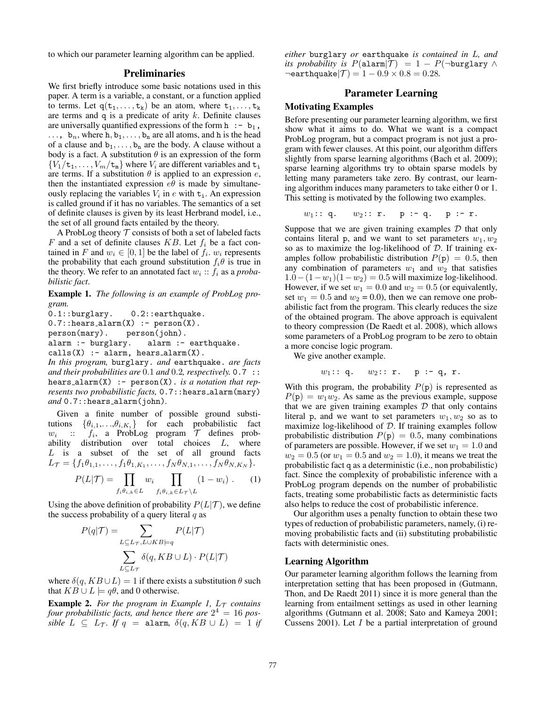to which our parameter learning algorithm can be applied.

# Preliminaries

We first briefly introduce some basic notations used in this paper. A term is a variable, a constant, or a function applied to terms. Let  $q(t_1, \ldots, t_k)$  be an atom, where  $t_1, \ldots, t_k$ are terms and  $q$  is a predicate of arity  $k$ . Definite clauses are universally quantified expressions of the form  $h : -b_1$ ,  $\ldots$ ,  $b_n$ , where h,  $b_1, \ldots, b_n$  are all atoms, and h is the head of a clause and  $b_1, \ldots, b_n$  are the body. A clause without a body is a fact. A substitution  $\theta$  is an expression of the form  ${V_1/t_1, \ldots, V_m/t_m}$  where  $V_i$  are different variables and  $t_i$ are terms. If a substitution  $\theta$  is applied to an expression  $e$ , then the instantiated expression  $e\theta$  is made by simultaneously replacing the variables  $V_i$  in e with  $t_i$ . An expression is called ground if it has no variables. The semantics of a set of definite clauses is given by its least Herbrand model, i.e., the set of all ground facts entailed by the theory.

A ProbLog theory  $\mathcal T$  consists of both a set of labeled facts F and a set of definite clauses KB. Let  $f_i$  be a fact contained in F and  $w_i \in [0, 1]$  be the label of  $f_i$ .  $w_i$  represents the probability that each ground substitution  $f_i \theta$  is true in the theory. We refer to an annotated fact  $w_i$ :  $f_i$  as a *probabilistic fact*.

Example 1. *The following is an example of ProbLog program.*

0.1::burglary. 0.2::earthquake.  $0.7:$ :hears\_alarm $(X)$  :- person $(X)$ .<br>person(mary). person(john). person(john). alarm :- burglary. alarm :- earthquake.

 $calis(X) := alarm, hears_alarm(X).$ 

*In this program,* burglary. *and* earthquake. *are facts and their probabilities are* 0.1 *and* 0.2*, respectively.* 0.7 :: hears alarm(X) :- person(X). *is a notation that represents two probabilistic facts,* 0.7:: hears\_alarm(mary) *and* 0.7::hears alarm(john)*.*

Given a finite number of possible ground substitutions  $\{\theta_{i,1},\ldots,\theta_{i,K_i}\}$  for each probabilistic fact  $w_i$  ::  $f_i$ , a ProbLog program  $\mathcal T$  defines prob-<br>ability distribution over total choices L, where L is a subset of the set of all ground facts  $L_{\mathcal{T}} = \{f_1\theta_{1,1}, \ldots, f_1\theta_{1,K_1}, \ldots, f_N\theta_{N,1}, \ldots, f_N\theta_{N,K_N}\}.$ 

$$
P(L|\mathcal{T}) = \prod_{f_i \theta_{i,k} \in L} w_i \prod_{f_i \theta_{i,k} \in L_{\mathcal{T}} \backslash L} (1 - w_i) . \qquad (1)
$$

Using the above definition of probability  $P(L|\mathcal{T})$ , we define the success probability of a query literal  $q$  as

$$
P(q|\mathcal{T}) = \sum_{L \subseteq L_{\mathcal{T}}, L \cup KB \models q} P(L|\mathcal{T})
$$

$$
\sum_{L \subseteq L_{\mathcal{T}}} \delta(q, KB \cup L) \cdot P(L|\mathcal{T})
$$

where  $\delta(q, KB \cup L) = 1$  if there exists a substitution  $\theta$  such that  $KB \cup L \models q\theta$ , and 0 otherwise.

**Example 2.** For the program in Example 1,  $L<sub>T</sub>$  contains four probabilistic facts, and hence there are  $2^4 = 16$  pos*sible*  $L \subseteq L_{\mathcal{T}}$ . If  $q = \text{alarm}$ ,  $\delta(q, KB \cup L) = 1$  if

*either* burglary *or* earthquake *is contained in* L*, and its probability is*  $P(\text{alarm}|\mathcal{T}) = 1 - P(\neg \text{burglary} \land \neg \text{arglary})$  $\neg$ earthquake $|\mathcal{T}| = 1 - 0.9 \times 0.8 = 0.28$ .

### Parameter Learning

# Motivating Examples

Before presenting our parameter learning algorithm, we first show what it aims to do. What we want is a compact ProbLog program, but a compact program is not just a program with fewer clauses. At this point, our algorithm differs slightly from sparse learning algorithms (Bach et al. 2009); sparse learning algorithms try to obtain sparse models by letting many parameters take zero. By contrast, our learning algorithm induces many parameters to take either 0 or 1. This setting is motivated by the following two examples.

 $w_1: : q. \t w_2: : r. \t p: q. \t p: r.$ 

Suppose that we are given training examples  $D$  that only contains literal p, and we want to set parameters  $w_1, w_2$ so as to maximize the log-likelihood of  $D$ . If training examples follow probabilistic distribution  $P(p) = 0.5$ , then any combination of parameters  $w_1$  and  $w_2$  that satisfies  $1.0-(1-w_1)(1-w_2)=0.5$  will maximize log-likelihood. However, if we set  $w_1 = 0.0$  and  $w_2 = 0.5$  (or equivalently, set  $w_1 = 0.5$  and  $w_2 = 0.0$ , then we can remove one probabilistic fact from the program. This clearly reduces the size of the obtained program. The above approach is equivalent to theory compression (De Raedt et al. 2008), which allows some parameters of a ProbLog program to be zero to obtain a more concise logic program.

We give another example.

$$
w_1: : q. \t w_2: : r. \t p : q, r.
$$

With this program, the probability  $P(p)$  is represented as  $P(\mathbf{p}) = w_1w_2$ . As same as the previous example, suppose that we are given training examples  $D$  that only contains literal p, and we want to set parameters  $w_1, w_2$  so as to maximize log-likelihood of  $D$ . If training examples follow probabilistic distribution  $P(p) = 0.5$ , many combinations of parameters are possible. However, if we set  $w_1 = 1.0$  and  $w_2 = 0.5$  (or  $w_1 = 0.5$  and  $w_2 = 1.0$ ), it means we treat the probabilistic fact q as a deterministic (i.e., non probabilistic) fact. Since the complexity of probabilistic inference with a ProbLog program depends on the number of probabilistic facts, treating some probabilistic facts as deterministic facts also helps to reduce the cost of probabilistic inference.

Our algorithm uses a penalty function to obtain these two types of reduction of probabilistic parameters, namely, (i) removing probabilistic facts and (ii) substituting probabilistic facts with deterministic ones.

#### Learning Algorithm

Our parameter learning algorithm follows the learning from interpretation setting that has been proposed in (Gutmann, Thon, and De Raedt 2011) since it is more general than the learning from entailment settings as used in other learning algorithms (Gutmann et al. 2008; Sato and Kameya 2001; Cussens 2001). Let  $I$  be a partial interpretation of ground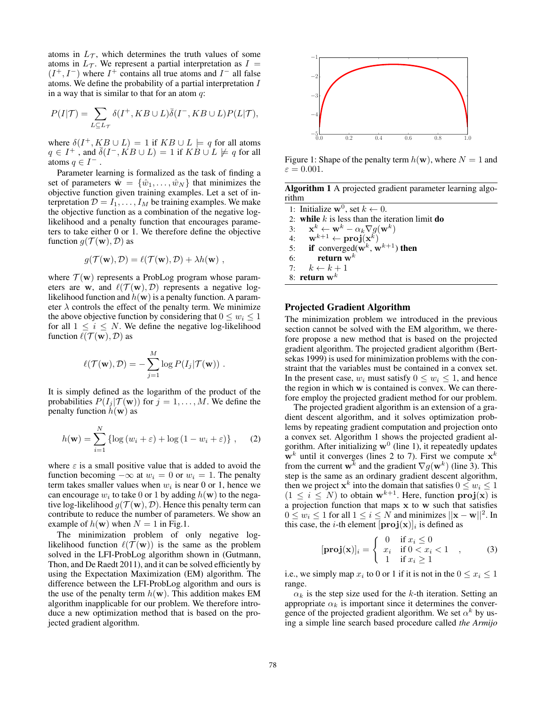atoms in  $L_{\mathcal{T}}$ , which determines the truth values of some atoms in  $L_{\mathcal{T}}$ . We represent a partial interpretation as  $I =$  $(I^+, I^-)$  where  $I^+$  contains all true atoms and  $I^-$  all false atoms. We define the probability of a partial interpretation I in a way that is similar to that for an atom  $q$ :

$$
P(I|\mathcal{T}) = \sum_{L \subseteq L_{\mathcal{T}}} \delta(I^+, KB \cup L) \overline{\delta}(I^-, KB \cup L) P(L|\mathcal{T}),
$$

where  $\delta(I^+, KB \cup L) = 1$  if  $KB \cup L \models q$  for all atoms  $q \in I^+$ , and  $\bar{\delta}(I^-, K B \cup L) = 1$  if  $\overline{KB} \cup L \not\models q$  for all atoms  $q \in I^-$ .

Parameter learning is formalized as the task of finding a set of parameters  $\hat{\mathbf{w}} = {\hat{w}_1, \dots, \hat{w}_N}$  that minimizes the objective function given training examples. Let a set of interpretation  $\mathcal{D} = I_1, \dots, I_M$  be training examples. We make the objective function as a combination of the negative loglikelihood and a penalty function that encourages parameters to take either 0 or 1. We therefore define the objective function  $q(\mathcal{T}(\mathbf{w}), \mathcal{D})$  as

$$
g(\mathcal{T}(\mathbf{w}), \mathcal{D}) = \ell(\mathcal{T}(\mathbf{w}), \mathcal{D}) + \lambda h(\mathbf{w})
$$

where  $\mathcal{T}(\mathbf{w})$  represents a ProbLog program whose parameters are w, and  $\ell(\mathcal{T}(\mathbf{w}), \mathcal{D})$  represents a negative loglikelihood function and  $h(\mathbf{w})$  is a penalty function. A parameter  $\lambda$  controls the effect of the penalty term. We minimize the above objective function by considering that  $0 \leq w_i \leq 1$ for all  $1 \leq i \leq N$ . We define the negative log-likelihood function  $\ell(\mathcal{T}(\mathbf{w}), \mathcal{D})$  as

$$
\ell(\mathcal{T}(\mathbf{w}), \mathcal{D}) = -\sum_{j=1}^M \log P(I_j|\mathcal{T}(\mathbf{w})) .
$$

It is simply defined as the logarithm of the product of the probabilities  $P(I_i | \mathcal{T}(\mathbf{w}))$  for  $j = 1, ..., M$ . We define the penalty function  $h(\mathbf{w})$  as

$$
h(\mathbf{w}) = \sum_{i=1}^{N} \{ \log (w_i + \varepsilon) + \log (1 - w_i + \varepsilon) \}, \quad (2)
$$

where  $\varepsilon$  is a small positive value that is added to avoid the function becoming  $-\infty$  at  $w_i = 0$  or  $w_i = 1$ . The penalty term takes smaller values when  $w_i$  is near 0 or 1, hence we can encourage  $w_i$  to take 0 or 1 by adding  $h(\mathbf{w})$  to the negative log-likelihood  $g(\mathcal{T}(\mathbf{w}), \mathcal{D})$ . Hence this penalty term can contribute to reduce the number of parameters. We show an example of  $h(\mathbf{w})$  when  $N = 1$  in Fig.1.

The minimization problem of only negative loglikelihood function  $\ell(\bar{\mathcal{T}}(\mathbf{w}))$  is the same as the problem solved in the LFI-ProbLog algorithm shown in (Gutmann, Thon, and De Raedt 2011), and it can be solved efficiently by using the Expectation Maximization (EM) algorithm. The difference between the LFI-ProbLog algorithm and ours is the use of the penalty term  $h(\mathbf{w})$ . This addition makes EM algorithm inapplicable for our problem. We therefore introduce a new optimization method that is based on the projected gradient algorithm.



Figure 1: Shape of the penalty term  $h(\mathbf{w})$ , where  $N = 1$  and  $\varepsilon = 0.001$ .

Algorithm 1 A projected gradient parameter learning algorithm

1: Initialize  $\mathbf{w}^0$ , set  $k \leftarrow 0$ . 2: while k is less than the iteration limit do<br>3:  $\mathbf{x}^k \leftarrow \mathbf{w}^k - \alpha_k \nabla q(\mathbf{w}^k)$ 3:  $\mathbf{x}^k \leftarrow \mathbf{w}^k - \alpha_k \nabla g(\mathbf{w}^k)$ 4:  $\mathbf{w}^{k+1} \leftarrow \mathbf{proj}(\mathbf{x}^k)$ 5: if converged( $\mathbf{w}^k$ ,  $\mathbf{w}^{k+1}$ ) then 6: return  $\mathbf{w}^k$ 7:  $k \leftarrow k + 1$ 8: return  $\mathbf{w}^k$ 

### Projected Gradient Algorithm

The minimization problem we introduced in the previous section cannot be solved with the EM algorithm, we therefore propose a new method that is based on the projected gradient algorithm. The projected gradient algorithm (Bertsekas 1999) is used for minimization problems with the constraint that the variables must be contained in a convex set. In the present case,  $w_i$  must satisfy  $0 \leq w_i \leq 1$ , and hence the region in which w is contained is convex. We can therefore employ the projected gradient method for our problem.

The projected gradient algorithm is an extension of a gradient descent algorithm, and it solves optimization problems by repeating gradient computation and projection onto a convex set. Algorithm 1 shows the projected gradient algorithm. After initializing  $w^0$  (line 1), it repeatedly updates  $\mathbf{w}^{k}$  until it converges (lines 2 to 7). First we compute  $\mathbf{x}^{k}$ from the current w<sup>k</sup> and the gradient  $\nabla g(\mathbf{w}^k)$  (line 3). This step is the same as an ordinary gradient descent algorithm, then we project  $x^k$  into the domain that satisfies  $0 \leq w_i \leq 1$  $(1 \leq i \leq N)$  to obtain  $\mathbf{w}^{k+1}$ . Here, function  $\mathbf{proj}(\mathbf{x})$  is a projection function that maps x to w such that satisfies  $0 \leq w_i \leq 1$  for all  $1 \leq i \leq N$  and minimizes  $||\mathbf{x} - \mathbf{w}||^2$ . In this case, the *i*-th element  $[\mathbf{proj}(\mathbf{x})]_i$  is defined as

$$
[\mathbf{proj}(\mathbf{x})]_i = \begin{cases} 0 & \text{if } x_i \le 0 \\ x_i & \text{if } 0 < x_i < 1 \\ 1 & \text{if } x_i \ge 1 \end{cases}, \tag{3}
$$

i.e., we simply map  $x_i$  to 0 or 1 if it is not in the  $0 \le x_i \le 1$ range.

 $\alpha_k$  is the step size used for the k-th iteration. Setting an appropriate  $\alpha_k$  is important since it determines the convergence of the projected gradient algorithm. We set  $\alpha^k$  by using a simple line search based procedure called *the Armijo*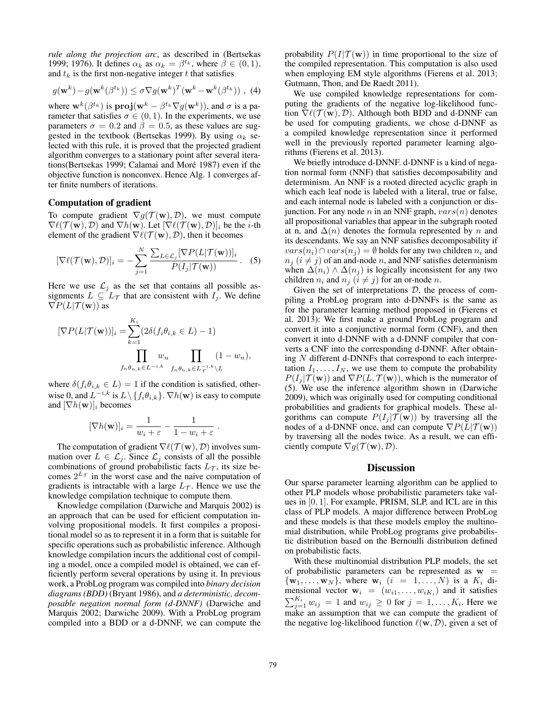*rule along the projection arc*, as described in (Bertsekas 1999; 1976). It defines  $\alpha_k$  as  $\alpha_k = \beta^{t_k}$ , where  $\beta \in (0, 1)$ , and  $t_k$  is the first non-negative integer  $t$  that satisfies

$$
g(\mathbf{w}^{k}) - g(\mathbf{w}^{k}(\beta^{t_k})) \leq \sigma \nabla g(\mathbf{w}^{k})^T (\mathbf{w}^{k} - \mathbf{w}^{k}(\beta^{t_k})) , (4)
$$

where  $\mathbf{w}^{k}(\beta^{t_k})$  is  $\mathbf{proj}(\mathbf{w}^{k} - \beta^{t_k} \nabla g(\mathbf{w}^{k}))$ , and  $\sigma$  is a parameter that satisfies  $\sigma \in (0, 1)$ . In the experiments, we use parameters  $\sigma = 0.2$  and  $\beta = 0.5$ , as these values are suggested in the textbook (Bertsekas 1999). By using  $\alpha_k$  selected with this rule, it is proved that the projected gradient algorithm converges to a stationary point after several iterations(Bertsekas 1999; Calamai and Moré 1987) even if the objective function is nonconvex. Hence Alg. 1 converges after finite numbers of iterations.

#### Computation of gradient

To compute gradient  $\nabla g(\mathcal{T}(\mathbf{w}), \mathcal{D})$ , we must compute  $\nabla \ell(\mathcal{T}(\mathbf{w}), \mathcal{D})$  and  $\nabla h(\mathbf{w})$ . Let  $[\nabla \ell(\mathcal{T}(\mathbf{w}), \mathcal{D})]_i$  be the *i*-th element of the gradient  $\nabla \ell(\mathcal{T}(\mathbf{w}), \mathcal{D})$ , then it becomes

$$
[\nabla \ell(\mathcal{T}(\mathbf{w}), \mathcal{D})]_i = -\sum_{j=1}^N \frac{\sum_{L \in \mathcal{L}_j} [\nabla P(L|\mathcal{T}(\mathbf{w}))]_i}{P(I_j|\mathcal{T}(\mathbf{w}))}.
$$
 (5)

Here we use  $\mathcal{L}_j$  as the set that contains all possible assignments  $L \subseteq L_{\mathcal{T}}$  that are consistent with  $I_j$ . We define  $\nabla P(L|\mathcal{T}(\mathbf{w}))$  as

$$
[\nabla P(L|\mathcal{T}(\mathbf{w}))]_i = \sum_{k=1}^{K_i} (2\delta(f_i\theta_{i,k} \in L) - 1)
$$
  

$$
\prod_{f_n\theta_{n,k} \in L^{-i,k}} w_n \prod_{f_n\theta_{n,k} \in L_T^{-i,k} \setminus L} (1 - w_n),
$$

where  $\delta(f_i\theta_{i,k} \in L) = 1$  if the condition is satisfied, otherwise 0, and  $L^{-i,k}$  is  $L \setminus \{f_i \theta_{i,k}\}\) \nabla h(\mathbf{w})$  is easy to compute and  $[\nabla h(\mathbf{w})]_i$  becomes

$$
[\nabla h(\mathbf{w})]_i = \frac{1}{w_i + \varepsilon} - \frac{1}{1 - w_i + \varepsilon}.
$$

The computation of gradient  $\nabla \ell(\mathcal{T}(\mathbf{w}), \mathcal{D})$  involves summation over  $L \in \mathcal{L}_j$ . Since  $\mathcal{L}_j$  consists of all the possible combinations of ground probabilistic facts  $L_{\mathcal{T}}$ , its size becomes  $2^{L_{\tau}}$  in the worst case and the naive computation of gradients is intractable with a large  $L_{\tau}$ . Hence we use the knowledge compilation technique to compute them.

Knowledge compilation (Darwiche and Marquis 2002) is an approach that can be used for efficient computation involving propositional models. It first compiles a propositional model so as to represent it in a form that is suitable for specific operations such as probabilistic inference. Although knowledge compilation incurs the additional cost of compiling a model, once a compiled model is obtained, we can efficiently perform several operations by using it. In previous work, a ProbLog program was compiled into *binary decision diagrams (BDD)* (Bryant 1986), and *a deterministic, decomposable negation normal form (d-DNNF)* (Darwiche and Marquis 2002; Darwiche 2009). With a ProbLog program compiled into a BDD or a d-DNNF, we can compute the probability  $P(I|\mathcal{T}(\mathbf{w}))$  in time proportional to the size of the compiled representation. This computation is also used when employing EM style algorithms (Fierens et al. 2013; Gutmann, Thon, and De Raedt 2011).

We use compiled knowledge representations for computing the gradients of the negative log-likelihood function  $\nabla \ell(\mathcal{T}(\mathbf{w}), \mathcal{D})$ . Although both BDD and d-DNNF can be used for computing gradients, we chose d-DNNF as a compiled knowledge representation since it performed well in the previously reported parameter learning algorithms (Fierens et al. 2013).

We briefly introduce d-DNNF. d-DNNF is a kind of negation normal form (NNF) that satisfies decomposability and determinism. An NNF is a rooted directed acyclic graph in which each leaf node is labeled with a literal, true or false, and each internal node is labeled with a conjunction or disjunction. For any node n in an NNF graph,  $vars(n)$  denotes all propositional variables that appear in the subgraph rooted at n, and  $\Delta(n)$  denotes the formula represented by n and its descendants. We say an NNF satisfies decomposability if  $vars(n_i) \cap vars(n_j) = \emptyset$  holds for any two children  $n_i$  and  $n_i$  ( $i \neq j$ ) of an and-node n, and NNF satisfies determinism when  $\Delta(n_i) \wedge \Delta(n_j)$  is logically inconsistent for any two children  $n_i$  and  $n_j$   $(i \neq j)$  for an or-node n.

Given the set of interpretations  $D$ , the process of compiling a ProbLog program into d-DNNFs is the same as for the parameter learning method proposed in (Fierens et al. 2013): We first make a ground ProbLog program and convert it into a conjunctive normal form (CNF), and then convert it into d-DNNF with a d-DNNF compiler that converts a CNF into the corresponding d-DNNF. After obtaining N different d-DNNFs that correspond to each interpretation  $I_1, \ldots, I_N$ , we use them to compute the probability  $P(I_i | \mathcal{T}(\mathbf{w}))$  and  $\nabla P(L, \mathcal{T}(\mathbf{w}))$ , which is the numerator of (5). We use the inference algorithm shown in (Darwiche 2009), which was originally used for computing conditional probabilities and gradients for graphical models. These algorithms can compute  $P(I_i | \mathcal{T}(\mathbf{w}))$  by traversing all the nodes of a d-DNNF once, and can compute  $\nabla P(L|\mathcal{T}(\mathbf{w}))$ by traversing all the nodes twice. As a result, we can efficiently compute  $\nabla g(\mathcal{T}(\mathbf{w}), \mathcal{D}).$ 

#### **Discussion**

Our sparse parameter learning algorithm can be applied to other PLP models whose probabilistic parameters take values in [0, 1]. For example, PRISM, SLP, and ICL are in this class of PLP models. A major difference between ProbLog and these models is that these models employ the multinomial distribution, while ProbLog programs give probabilistic distribution based on the Bernoulli distribution defined on probabilistic facts.

With these multinomial distribution PLP models, the set of probabilistic parameters can be represented as  $w =$  $\{w_1, \ldots, w_N\}$ , where  $w_i$   $(i = 1, \ldots, N)$  is a  $K_i$  dimensional vector  $\mathbf{w}_i = (w_{i1}, \dots, w_{iK_i})$  and it satisfies  $\sum_{j=1}^{K_i} w_{ij} = 1$  and  $w_{ij} \ge 0$  for  $j = 1, ..., K_i$ . Here we make an assumption that we can compute the gradient of the negative log-likelihood function  $\ell(\mathbf{w}, \mathcal{D})$ , given a set of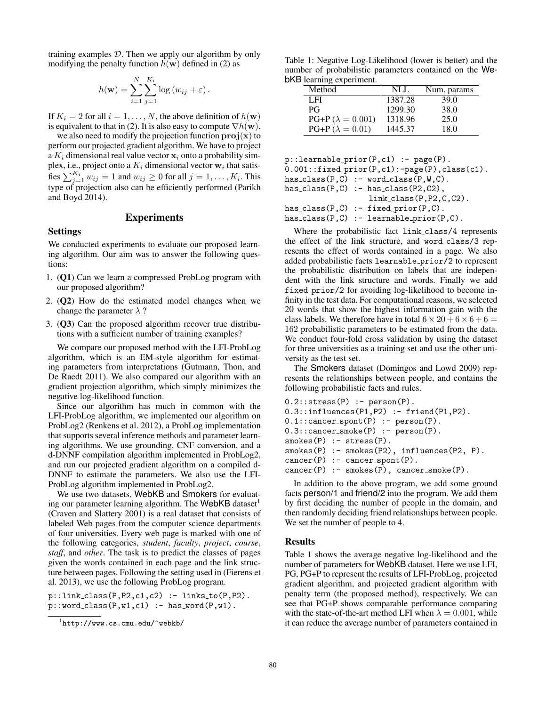training examples  $D$ . Then we apply our algorithm by only modifying the penalty function  $h(\mathbf{w})$  defined in (2) as

$$
h(\mathbf{w}) = \sum_{i=1}^{N} \sum_{j=1}^{K_i} \log (w_{ij} + \varepsilon).
$$

If  $K_i = 2$  for all  $i = 1, ..., N$ , the above definition of  $h(\mathbf{w})$ is equivalent to that in (2). It is also easy to compute  $\nabla h(\mathbf{w})$ .

we also need to modify the projection function  $\text{proj}(x)$  to perform our projected gradient algorithm. We have to project a  $K_i$  dimensional real value vector  $x_i$  onto a probability simplex, i.e., project onto a  $K_i$  dimensional vector  $w_i$  that satisfies  $\sum_{j=1}^{K_i} w_{ij} = 1$  and  $w_{ij} \ge 0$  for all  $j = 1, \ldots, K_i$ . This type of projection also can be efficiently performed (Parikh and Boyd 2014).

# Experiments

#### Settings

We conducted experiments to evaluate our proposed learning algorithm. Our aim was to answer the following questions:

- 1. (Q1) Can we learn a compressed ProbLog program with our proposed algorithm?
- 2. (Q2) How do the estimated model changes when we change the parameter  $\lambda$  ?
- 3. (Q3) Can the proposed algorithm recover true distributions with a sufficient number of training examples?

We compare our proposed method with the LFI-ProbLog algorithm, which is an EM-style algorithm for estimating parameters from interpretations (Gutmann, Thon, and De Raedt 2011). We also compared our algorithm with an gradient projection algorithm, which simply minimizes the negative log-likelihood function.

Since our algorithm has much in common with the LFI-ProbLog algorithm, we implemented our algorithm on ProbLog2 (Renkens et al. 2012), a ProbLog implementation that supports several inference methods and parameter learning algorithms. We use grounding, CNF conversion, and a d-DNNF compilation algorithm implemented in ProbLog2, and run our projected gradient algorithm on a compiled d-DNNF to estimate the parameters. We also use the LFI-ProbLog algorithm implemented in ProbLog2.

We use two datasets, WebKB and Smokers for evaluating our parameter learning algorithm. The WebKB dataset<sup>1</sup> (Craven and Slattery 2001) is a real dataset that consists of labeled Web pages from the computer science departments of four universities. Every web page is marked with one of the following categories, *student*, *faculty*, *project*, *course*, *staff*, and *other*. The task is to predict the classes of pages given the words contained in each page and the link structure between pages. Following the setting used in (Fierens et al. 2013), we use the following ProbLog program.

 $p::link_class(P,P2,c1,c2) :- links_to(P,P2).$  $p::word_class(P,w1,c1) :- has_words(P,w1).$ 

Table 1: Negative Log-Likelihood (lower is better) and the number of probabilistic parameters contained on the WebKB learning experiment.

| Method                  | NLL     | Num. params |
|-------------------------|---------|-------------|
| LFI                     | 1387.28 | 39.0        |
| <b>PG</b>               | 1299.30 | 38.0        |
| $PG+P(\lambda = 0.001)$ | 1318.96 | 25.0        |
| $PG+P(\lambda = 0.01)$  | 1445.37 | 18.0        |

```
p::learnable_prior(P,c1) :- page(P).
0.001::fixed_prior(P,c1):-page(P),class(c1).
has\_class(P,C) :- word\_class(P,W,C).
has\_class(P,C) :- has\_class(P2,C2),
                   link class(P,P2,C,C2).
has_class(P, C) :- fixed_prior(P, C).
has\_class(P,C) :- learnable\_prior(P,C).
```
Where the probabilistic fact link class/4 represents the effect of the link structure, and word class/3 represents the effect of words contained in a page. We also added probabilistic facts learnable prior/2 to represent the probabilistic distribution on labels that are independent with the link structure and words. Finally we add fixed prior/2 for avoiding log-likelihood to become infinity in the test data. For computational reasons, we selected 20 words that show the highest information gain with the class labels. We therefore have in total  $6 \times 20 + 6 \times 6 + 6 =$ 162 probabilistic parameters to be estimated from the data. We conduct four-fold cross validation by using the dataset for three universities as a training set and use the other university as the test set.

The Smokers dataset (Domingos and Lowd 2009) represents the relationships between people, and contains the following probabilistic facts and rules.

```
0.2:: stress(P) : - person(P).
0.3::influences(P1, P2) :- friend(P1, P2).
0.1::cancer_spont(P) :- person(P).
0.3::cancer_smoke(P) :- person(P).
smokes(P) :- stress(P).smokes(P) :- smokes(P2), influences(P2, P).
cancer(P) :- cancer_spont(P).
cancer(P) := smokers(P), cancer\_smoke(P).
```
In addition to the above program, we add some ground facts person/1 and friend/2 into the program. We add them by first deciding the number of people in the domain, and then randomly deciding friend relationships between people. We set the number of people to 4.

#### Results

Table 1 shows the average negative log-likelihood and the number of parameters for WebKB dataset. Here we use LFI, PG, PG+P to represent the results of LFI-ProbLog, projected gradient algorithm, and projected gradient algorithm with penalty term (the proposed method), respectively. We can see that PG+P shows comparable performance comparing with the state-of-the-art method LFI when  $\lambda = 0.001$ , while it can reduce the average number of parameters contained in

<sup>1</sup> http://www.cs.cmu.edu/~webkb/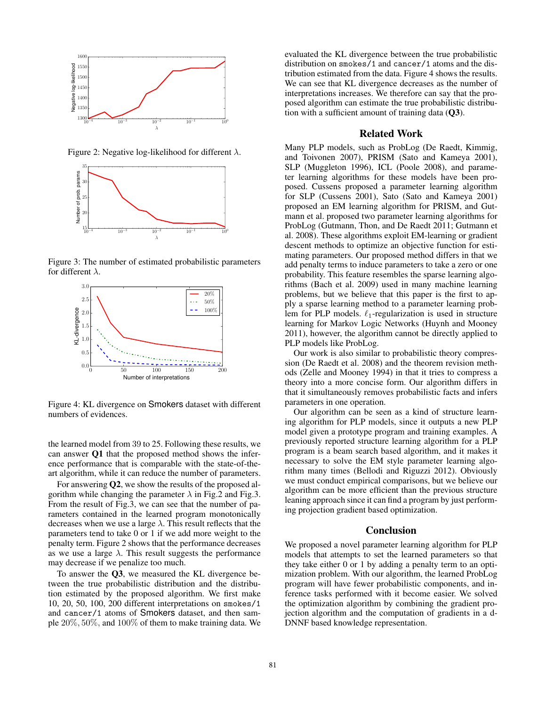

Figure 2: Negative log-likelihood for different  $\lambda$ .



Figure 3: The number of estimated probabilistic parameters for different  $\lambda$ .



Figure 4: KL divergence on Smokers dataset with different numbers of evidences.

the learned model from 39 to 25. Following these results, we can answer Q1 that the proposed method shows the inference performance that is comparable with the state-of-theart algorithm, while it can reduce the number of parameters.

For answering Q2, we show the results of the proposed algorithm while changing the parameter  $\lambda$  in Fig.2 and Fig.3. From the result of Fig.3, we can see that the number of parameters contained in the learned program monotonically decreases when we use a large  $\lambda$ . This result reflects that the parameters tend to take 0 or 1 if we add more weight to the penalty term. Figure 2 shows that the performance decreases as we use a large  $\lambda$ . This result suggests the performance may decrease if we penalize too much.

To answer the Q3, we measured the KL divergence between the true probabilistic distribution and the distribution estimated by the proposed algorithm. We first make 10, 20, 50, 100, 200 different interpretations on smokes/1 and cancer/1 atoms of Smokers dataset, and then sample 20%, 50%, and 100% of them to make training data. We evaluated the KL divergence between the true probabilistic distribution on smokes/1 and cancer/1 atoms and the distribution estimated from the data. Figure 4 shows the results. We can see that KL divergence decreases as the number of interpretations increases. We therefore can say that the proposed algorithm can estimate the true probabilistic distribution with a sufficient amount of training data  $(Q3)$ .

### Related Work

Many PLP models, such as ProbLog (De Raedt, Kimmig, and Toivonen 2007), PRISM (Sato and Kameya 2001), SLP (Muggleton 1996), ICL (Poole 2008), and parameter learning algorithms for these models have been proposed. Cussens proposed a parameter learning algorithm for SLP (Cussens 2001), Sato (Sato and Kameya 2001) proposed an EM learning algorithm for PRISM, and Gutmann et al. proposed two parameter learning algorithms for ProbLog (Gutmann, Thon, and De Raedt 2011; Gutmann et al. 2008). These algorithms exploit EM-learning or gradient descent methods to optimize an objective function for estimating parameters. Our proposed method differs in that we add penalty terms to induce parameters to take a zero or one probability. This feature resembles the sparse learning algorithms (Bach et al. 2009) used in many machine learning problems, but we believe that this paper is the first to apply a sparse learning method to a parameter learning problem for PLP models.  $\ell_1$ -regularization is used in structure learning for Markov Logic Networks (Huynh and Mooney 2011), however, the algorithm cannot be directly applied to PLP models like ProbLog.

Our work is also similar to probabilistic theory compression (De Raedt et al. 2008) and the theorem revision methods (Zelle and Mooney 1994) in that it tries to compress a theory into a more concise form. Our algorithm differs in that it simultaneously removes probabilistic facts and infers parameters in one operation.

Our algorithm can be seen as a kind of structure learning algorithm for PLP models, since it outputs a new PLP model given a prototype program and training examples. A previously reported structure learning algorithm for a PLP program is a beam search based algorithm, and it makes it necessary to solve the EM style parameter learning algorithm many times (Bellodi and Riguzzi 2012). Obviously we must conduct empirical comparisons, but we believe our algorithm can be more efficient than the previous structure leaning approach since it can find a program by just performing projection gradient based optimization.

# Conclusion

We proposed a novel parameter learning algorithm for PLP models that attempts to set the learned parameters so that they take either 0 or 1 by adding a penalty term to an optimization problem. With our algorithm, the learned ProbLog program will have fewer probabilistic components, and inference tasks performed with it become easier. We solved the optimization algorithm by combining the gradient projection algorithm and the computation of gradients in a d-DNNF based knowledge representation.